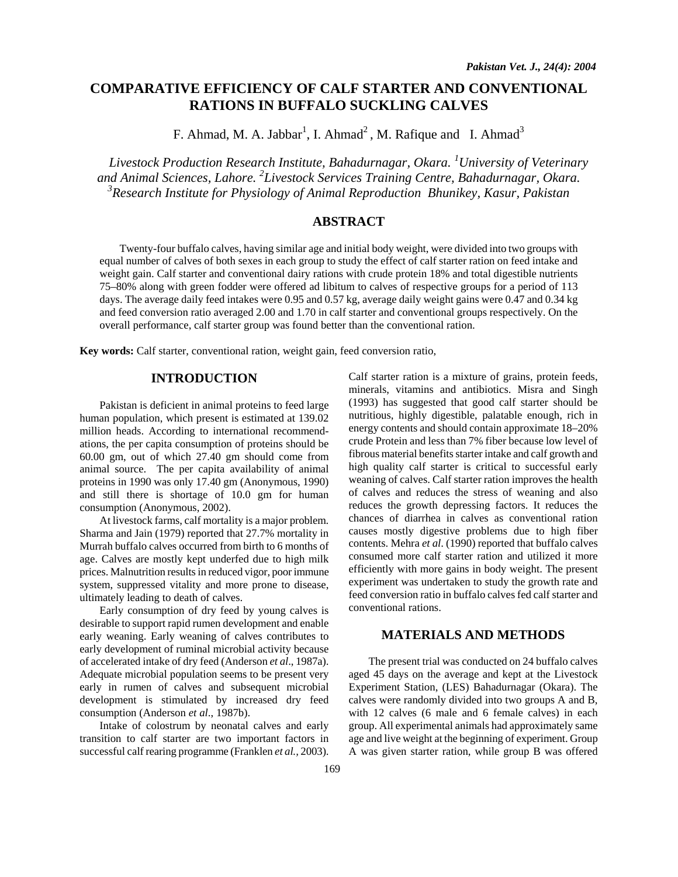# **COMPARATIVE EFFICIENCY OF CALF STARTER AND CONVENTIONAL RATIONS IN BUFFALO SUCKLING CALVES**

F. Ahmad, M. A. Jabbar<sup>1</sup>, I. Ahmad<sup>2</sup>, M. Rafique and I. Ahmad<sup>3</sup>

*Livestock Production Research Institute, Bahadurnagar, Okara. <sup>1</sup> University of Veterinary and Animal Sciences, Lahore. 2 Livestock Services Training Centre, Bahadurnagar, Okara.*  <sup>3</sup> Research Institute for Physiology of Animal Reproduction Bhunikey, Kasur, Pakistan

# **ABSTRACT**

Twenty-four buffalo calves, having similar age and initial body weight, were divided into two groups with equal number of calves of both sexes in each group to study the effect of calf starter ration on feed intake and weight gain. Calf starter and conventional dairy rations with crude protein 18% and total digestible nutrients 75–80% along with green fodder were offered ad libitum to calves of respective groups for a period of 113 days. The average daily feed intakes were 0.95 and 0.57 kg, average daily weight gains were 0.47 and 0.34 kg and feed conversion ratio averaged 2.00 and 1.70 in calf starter and conventional groups respectively. On the overall performance, calf starter group was found better than the conventional ration.

**Key words:** Calf starter, conventional ration, weight gain, feed conversion ratio,

# **INTRODUCTION**

Pakistan is deficient in animal proteins to feed large human population, which present is estimated at 139.02 million heads. According to international recommendations, the per capita consumption of proteins should be 60.00 gm, out of which 27.40 gm should come from animal source. The per capita availability of animal proteins in 1990 was only 17.40 gm (Anonymous, 1990) and still there is shortage of 10.0 gm for human consumption (Anonymous, 2002).

At livestock farms, calf mortality is a major problem. Sharma and Jain (1979) reported that 27.7% mortality in Murrah buffalo calves occurred from birth to 6 months of age. Calves are mostly kept underfed due to high milk prices. Malnutrition results in reduced vigor, poor immune system, suppressed vitality and more prone to disease, ultimately leading to death of calves.

Early consumption of dry feed by young calves is desirable to support rapid rumen development and enable early weaning. Early weaning of calves contributes to early development of ruminal microbial activity because of accelerated intake of dry feed (Anderson *et al*., 1987a). Adequate microbial population seems to be present very early in rumen of calves and subsequent microbial development is stimulated by increased dry feed consumption (Anderson *et al*., 1987b).

Intake of colostrum by neonatal calves and early transition to calf starter are two important factors in successful calf rearing programme (Franklen *et al.,* 2003).

Calf starter ration is a mixture of grains, protein feeds, minerals, vitamins and antibiotics. Misra and Singh (1993) has suggested that good calf starter should be nutritious, highly digestible, palatable enough, rich in energy contents and should contain approximate 18–20% crude Protein and less than 7% fiber because low level of fibrous material benefits starter intake and calf growth and high quality calf starter is critical to successful early weaning of calves. Calf starter ration improves the health of calves and reduces the stress of weaning and also reduces the growth depressing factors. It reduces the chances of diarrhea in calves as conventional ration causes mostly digestive problems due to high fiber contents. Mehra *et al*. (1990) reported that buffalo calves consumed more calf starter ration and utilized it more efficiently with more gains in body weight. The present experiment was undertaken to study the growth rate and feed conversion ratio in buffalo calves fed calf starter and conventional rations.

# **MATERIALS AND METHODS**

The present trial was conducted on 24 buffalo calves aged 45 days on the average and kept at the Livestock Experiment Station, (LES) Bahadurnagar (Okara). The calves were randomly divided into two groups A and B, with 12 calves (6 male and 6 female calves) in each group. All experimental animals had approximately same age and live weight at the beginning of experiment. Group A was given starter ration, while group B was offered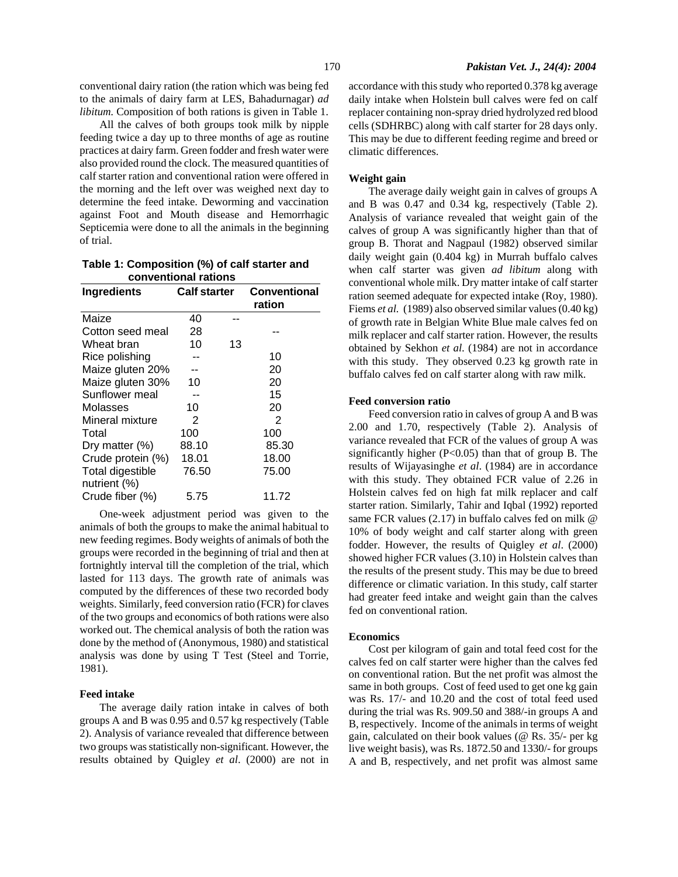conventional dairy ration (the ration which was being fed to the animals of dairy farm at LES, Bahadurnagar) *ad libitum.* Composition of both rations is given in Table 1.

All the calves of both groups took milk by nipple feeding twice a day up to three months of age as routine practices at dairy farm. Green fodder and fresh water were also provided round the clock. The measured quantities of calf starter ration and conventional ration were offered in the morning and the left over was weighed next day to determine the feed intake. Deworming and vaccination against Foot and Mouth disease and Hemorrhagic Septicemia were done to all the animals in the beginning of trial.

**Table 1: Composition (%) of calf starter and conventional rations** 

| <b>Ingredients</b> | <b>Calf starter</b> |    | <b>Conventional</b><br>ration |  |
|--------------------|---------------------|----|-------------------------------|--|
| Maize              | 40                  |    |                               |  |
| Cotton seed meal   | 28                  |    |                               |  |
| Wheat bran         | 10                  | 13 |                               |  |
| Rice polishing     |                     |    | 10                            |  |
| Maize gluten 20%   |                     |    | 20                            |  |
| Maize gluten 30%   | 10                  |    | 20                            |  |
| Sunflower meal     |                     |    | 15                            |  |
| Molasses           | 10                  |    | 20                            |  |
| Mineral mixture    | 2                   |    | 2                             |  |
| Total              | 100                 |    | 100                           |  |
| Dry matter (%)     | 88.10               |    | 85.30                         |  |
| Crude protein (%)  | 18.01               |    | 18.00                         |  |
| Total digestible   | 76.50               |    | 75.00                         |  |
| nutrient (%)       |                     |    |                               |  |
| Crude fiber (%)    | 5.75                |    | 11.72                         |  |

One-week adjustment period was given to the animals of both the groups to make the animal habitual to new feeding regimes. Body weights of animals of both the groups were recorded in the beginning of trial and then at fortnightly interval till the completion of the trial, which lasted for 113 days. The growth rate of animals was computed by the differences of these two recorded body weights. Similarly, feed conversion ratio (FCR) for claves of the two groups and economics of both rations were also worked out. The chemical analysis of both the ration was done by the method of (Anonymous, 1980) and statistical analysis was done by using T Test (Steel and Torrie, 1981).

### **Feed intake**

The average daily ration intake in calves of both groups A and B was 0.95 and 0.57 kg respectively (Table 2). Analysis of variance revealed that difference between two groups was statistically non-significant. However, the results obtained by Quigley *et al*. (2000) are not in accordance with this study who reported 0.378 kg average daily intake when Holstein bull calves were fed on calf replacer containing non-spray dried hydrolyzed red blood cells (SDHRBC) along with calf starter for 28 days only. This may be due to different feeding regime and breed or climatic differences.

#### **Weight gain**

The average daily weight gain in calves of groups A and B was 0.47 and 0.34 kg, respectively (Table 2). Analysis of variance revealed that weight gain of the calves of group A was significantly higher than that of group B. Thorat and Nagpaul (1982) observed similar daily weight gain (0.404 kg) in Murrah buffalo calves when calf starter was given *ad libitum* along with conventional whole milk. Dry matter intake of calf starter ration seemed adequate for expected intake (Roy, 1980). Fiems *et al.* (1989) also observed similar values (0.40 kg) of growth rate in Belgian White Blue male calves fed on milk replacer and calf starter ration. However, the results obtained by Sekhon *et al*. (1984) are not in accordance with this study. They observed 0.23 kg growth rate in buffalo calves fed on calf starter along with raw milk.

#### **Feed conversion ratio**

Feed conversion ratio in calves of group A and B was 2.00 and 1.70, respectively (Table 2). Analysis of variance revealed that FCR of the values of group A was significantly higher  $(P<0.05)$  than that of group B. The results of Wijayasinghe *et al*. (1984) are in accordance with this study. They obtained FCR value of 2.26 in Holstein calves fed on high fat milk replacer and calf starter ration. Similarly, Tahir and Iqbal (1992) reported same FCR values (2.17) in buffalo calves fed on milk @ 10% of body weight and calf starter along with green fodder. However, the results of Quigley *et al*. (2000) showed higher FCR values (3.10) in Holstein calves than the results of the present study. This may be due to breed difference or climatic variation. In this study, calf starter had greater feed intake and weight gain than the calves fed on conventional ration.

#### **Economics**

Cost per kilogram of gain and total feed cost for the calves fed on calf starter were higher than the calves fed on conventional ration. But the net profit was almost the same in both groups. Cost of feed used to get one kg gain was Rs. 17/- and 10.20 and the cost of total feed used during the trial was Rs. 909.50 and 388/-in groups A and B, respectively. Income of the animals in terms of weight gain, calculated on their book values (@ Rs. 35/- per kg live weight basis), was Rs. 1872.50 and 1330/- for groups A and B, respectively, and net profit was almost same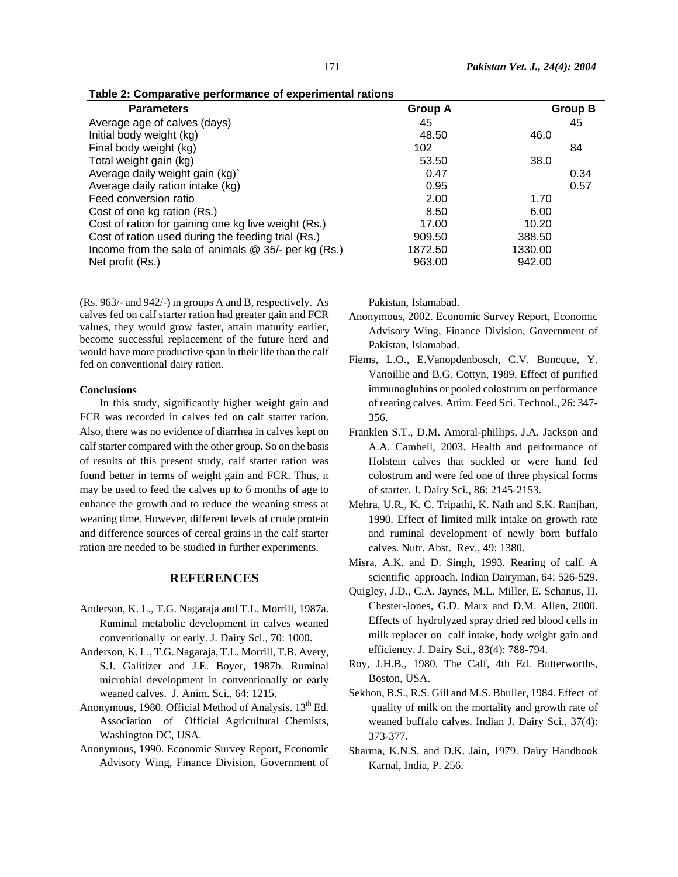| Table 2: Comparative performance of experimental rations |  |  |  |  |  |  |  |
|----------------------------------------------------------|--|--|--|--|--|--|--|
|----------------------------------------------------------|--|--|--|--|--|--|--|

| <b>Parameters</b>                                     | <b>Group A</b> | <b>Group B</b> |
|-------------------------------------------------------|----------------|----------------|
| Average age of calves (days)                          | 45             | 45             |
| Initial body weight (kg)                              | 48.50          | 46.0           |
| Final body weight (kg)                                | 102            | 84             |
| Total weight gain (kg)                                | 53.50          | 38.0           |
| Average daily weight gain (kg)`                       | 0.47           | 0.34           |
| Average daily ration intake (kg)                      | 0.95           | 0.57           |
| Feed conversion ratio                                 | 2.00           | 1.70           |
| Cost of one kg ration (Rs.)                           | 8.50           | 6.00           |
| Cost of ration for gaining one kg live weight (Rs.)   | 17.00          | 10.20          |
| Cost of ration used during the feeding trial (Rs.)    | 909.50         | 388.50         |
| Income from the sale of animals $@$ 35/- per kg (Rs.) | 1872.50        | 1330.00        |
| Net profit (Rs.)                                      | 963.00         | 942.00         |

(Rs. 963/- and 942/-) in groups A and B, respectively. As calves fed on calf starter ration had greater gain and FCR values, they would grow faster, attain maturity earlier, become successful replacement of the future herd and would have more productive span in their life than the calf fed on conventional dairy ration.

#### **Conclusions**

In this study, significantly higher weight gain and FCR was recorded in calves fed on calf starter ration. Also, there was no evidence of diarrhea in calves kept on calf starter compared with the other group. So on the basis of results of this present study, calf starter ration was found better in terms of weight gain and FCR. Thus, it may be used to feed the calves up to 6 months of age to enhance the growth and to reduce the weaning stress at weaning time. However, different levels of crude protein and difference sources of cereal grains in the calf starter ration are needed to be studied in further experiments.

## **REFERENCES**

- Anderson, K. L., T.G. Nagaraja and T.L. Morrill, 1987a. Ruminal metabolic development in calves weaned conventionally or early. J. Dairy Sci., 70: 1000.
- Anderson, K. L., T.G. Nagaraja, T.L. Morrill, T.B. Avery, S.J. Galitizer and J.E. Boyer, 1987b. Ruminal microbial development in conventionally or early weaned calves. J. Anim. Sci., 64: 1215.
- Anonymous, 1980. Official Method of Analysis. 13<sup>th</sup> Ed. Association of Official Agricultural Chemists, Washington DC, USA.
- Anonymous, 1990. Economic Survey Report, Economic Advisory Wing, Finance Division, Government of

Pakistan, Islamabad.

- Anonymous, 2002. Economic Survey Report, Economic Advisory Wing, Finance Division, Government of Pakistan, Islamabad.
- Fiems, L.O., E.Vanopdenbosch, C.V. Boncque, Y. Vanoillie and B.G. Cottyn, 1989. Effect of purified immunoglubins or pooled colostrum on performance of rearing calves. Anim. Feed Sci. Technol., 26: 347- 356.
- Franklen S.T., D.M. Amoral-phillips, J.A. Jackson and A.A. Cambell, 2003. Health and performance of Holstein calves that suckled or were hand fed colostrum and were fed one of three physical forms of starter. J. Dairy Sci., 86: 2145-2153.
- Mehra, U.R., K. C. Tripathi, K. Nath and S.K. Ranjhan, 1990. Effect of limited milk intake on growth rate and ruminal development of newly born buffalo calves. Nutr. Abst. Rev., 49: 1380.
- Misra, A.K. and D. Singh, 1993. Rearing of calf. A scientific approach. Indian Dairyman, 64: 526-529.
- Quigley, J.D., C.A. Jaynes, M.L. Miller, E. Schanus, H. Chester-Jones, G.D. Marx and D.M. Allen, 2000. Effects of hydrolyzed spray dried red blood cells in milk replacer on calf intake, body weight gain and efficiency. J. Dairy Sci., 83(4): 788-794.
- Roy, J.H.B., 1980. The Calf, 4th Ed. Butterworths, Boston, USA.
- Sekhon, B.S., R.S. Gill and M.S. Bhuller, 1984. Effect of quality of milk on the mortality and growth rate of weaned buffalo calves. Indian J. Dairy Sci., 37(4): 373-377.
- Sharma, K.N.S. and D.K. Jain, 1979. Dairy Handbook Karnal, India, P. 256.